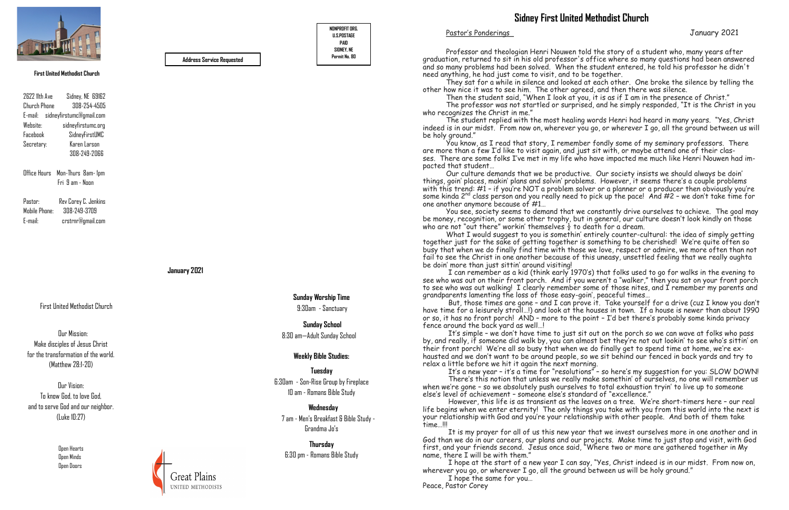First United Methodist Church

 Open Hearts Open Minds Open Doors



#### **January 2021**

Office Hours Mon-Thurs 8am- 1pm Fri 9 am - Noon

2622 11th Ave Sidney, NE 69162 Church Phone 308-254-4505 E-mail: sidneyfirstumc@gmail.com Website: sidneyfirstumc.org Facebook SidneyFirstUMC Secretary: Karen Larson 308-249-2066

Pastor: Rev Corey C. Jenkins Mobile Phone: 308-249-3709 E-mail: crstrnr@gmail.com **NONPROFIT ORG. U.S.POSTAGE PAID SIDNEY, NE**

**Permit No. 80 Address Service Requested**

#### **First United Methodist Church**

**Sunday Worship Time** 9:30am - Sanctuary

 **Sunday School**  8:30 am—Adult Sunday School

**Weekly Bible Studies:**

**Tuesday**  6:30am - Son-Rise Group by Fireplace 10 am - Romans Bible Study

 **Wednesday** 7 am - Men's Breakfast & Bible Study - Grandma Jo's

**Thursday** 6:30 pm - Romans Bible Study

Our Mission: Make disciples of Jesus Christ for the transformation of the world. (Matthew 28:1-20)

Our Vision: To know God, to love God, and to serve God and our neighbor. (Luke 10:27)

Pastor's Ponderings January 2021

Professor and theologian Henri Nouwen told the story of a student who, many years after graduation, returned to sit in his old professor's office where so many questions had been answered and so many problems had been solved. When the student entered, he told his professor he didn't need anything, he had just come to visit, and to be together.

You see, society seems to demand that we constantly drive ourselves to achieve. The goal may be money, recognition, or some other trophy, but in general, our culture doesn't look kindly on those who are not "out there" workin' themselves  $\frac{1}{2}$  to death for a dream.

They sat for a while in silence and looked at each other. One broke the silence by telling the other how nice it was to see him. The other agreed, and then there was silence.

Then the student said, "When I look at you, it is as if I am in the presence of Christ."

The professor was not startled or surprised, and he simply responded, "It is the Christ in you who recognizes the Christ in me."

The student replied with the most healing words Henri had heard in many years. "Yes, Christ indeed is in our midst. From now on, wherever you go, or wherever I go, all the ground between us will be holy ground."

But, those times are gone - and I can prove it. Take yourself for a drive (cuz I know you don't have time for a leisurely stroll…!) and look at the houses in town. If a house is newer than about 1990 or so, it has no front porch! AND – more to the point – I'd bet there's probably some kinda privacy fence around the back yard as well…!

You know, as I read that story, I remember fondly some of my seminary professors. There are more than a few I'd like to visit again, and just sit with, or maybe attend one of their classes. There are some folks I've met in my life who have impacted me much like Henri Nouwen had impacted that student…

It's a new year - it's a time for "resolutions" - so here's my suggestion for you: SLOW DOWN! There's this notion that unless we really make somethin' of ourselves, no one will remember us when we're gone – so we absolutely push ourselves to total exhaustion tryin' to live up to someone else's level of achievement – someone else's standard of "excellence."

Our culture demands that we be productive. Our society insists we should always be doin' things, goin' places, makin' plans and solvin' problems. However, it seems there's a couple problems with this trend: #1 – if you're NOT a problem solver or a planner or a producer then obviously you're some kinda  $2^{nd}$  class person and you really need to pick up the pace! And  $\#2$  – we don't take time for one another anymore because of #1…

What I would suggest to you is somethin' entirely counter-cultural: the idea of simply getting together just for the sake of getting together is something to be cherished! We're quite often so busy that when we do finally find time with those we love, respect or admire, we more often than not fail to see the Christ in one another because of this uneasy, unsettled feeling that we really oughta be doin' more than just sittin' around visiting!

 I can remember as a kid (think early 1970's) that folks used to go for walks in the evening to see who was out on their front porch. And if you weren't a "walker," then you sat on your front porch to see who was out walking! I clearly remember some of those nites, and I remember my parents and grandparents lamenting the loss of those easy-goin', peaceful times…

 It's simple – we don't have time to just sit out on the porch so we can wave at folks who pass by, and really, if someone did walk by, you can almost bet they're not out lookin' to see who's sittin' on their front porch! We're all so busy that when we do finally get to spend time at home, we're exhausted and we don't want to be around people, so we sit behind our fenced in back yards and try to relax a little before we hit it again the next morning.

 However, this life is as transient as the leaves on a tree. We're short-timers here – our real life begins when we enter eternity! The only things you take with you from this world into the next is your relationship with God and you're your relationship with other people. And both of them take time…!!!

 It is my prayer for all of us this new year that we invest ourselves more in one another and in God than we do in our careers, our plans and our projects. Make time to just stop and visit, with God first, and your friends second. Jesus once said, "Where two or more are gathered together in My name, there I will be with them."

 I hope at the start of a new year I can say, "Yes, Christ indeed is in our midst. From now on, wherever you go, or wherever I go, all the ground between us will be holy ground." I hope the same for you…

Peace, Pastor Corey

# **Sidney First United Methodist Church**